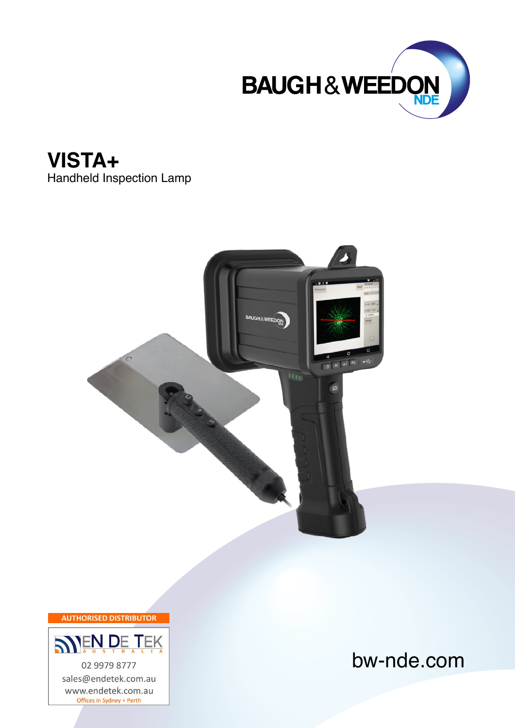





**AUTHORISED DISTRIBUTOR** 



sales@endetek.com.au www.endetek.com.au Offices in Sydney + Perth

bw-nde.com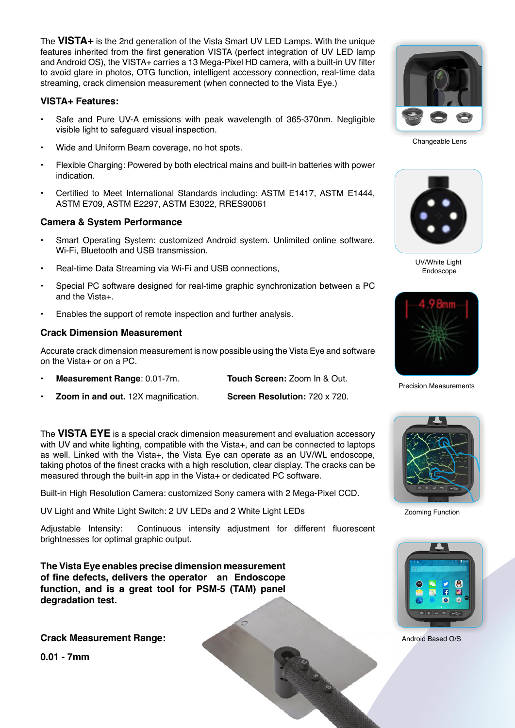The **VISTA+** is the 2nd generation of the Vista Smart UV LED Lamps. With the unique features inherited from the first generation VISTA (perfect integration of UV LED lamp and Android OS), the VISTA+ carries a 13 Mega-Pixel HD camera, with a built-in UV filter to avoid glare in photos, OTG function, intelligent accessory connection, real-time data streaming, crack dimension measurement (when connected to the Vista Eye.)

#### **VISTA+ Features:**

- Safe and Pure UV-A emissions with peak wavelength of 365-370nm. Negligible visible light to safeguard visual inspection.
- Wide and Uniform Beam coverage, no hot spots.
- Flexible Charging: Powered by both electrical mains and built-in batteries with power indication.
- Certified to Meet International Standards including: ASTM E1417, ASTM E1444, ASTM E709, ASTM E2297, ASTM E3022, RRES90061

## **Camera & System Performance**

- Smart Operating System: customized Android system. Unlimited online software. Wi-Fi, Bluetooth and USB transmission.
- Real-time Data Streaming via Wi-Fi and USB connections,
- Special PC software designed for real-time graphic synchronization between a PC and the Vista+.
- Enables the support of remote inspection and further analysis.

## **Crack Dimension Measurement**

Accurate crack dimension measurement is now possible using the Vista Eye and software on the Vista+ or on a PC.

- **• Measurement Range**: 0.01-7m. **Touch Screen:** Zoom In & Out.
- **• Zoom in and out.** 12X magnification. **Screen Resolution:** 720 x 720.

The **VISTA EYE** is a special crack dimension measurement and evaluation accessory with UV and white lighting, compatible with the Vista+, and can be connected to laptops as well. Linked with the Vista+, the Vista Eye can operate as an UV/WL endoscope, taking photos of the finest cracks with a high resolution, clear display. The cracks can be measured through the built-in app in the Vista+ or dedicated PC software.

Built-in High Resolution Camera: customized Sony camera with 2 Mega-Pixel CCD.

UV Light and White Light Switch: 2 UV LEDs and 2 White Light LEDs

Adjustable Intensity: Continuous intensity adjustment for different fluorescent brightnesses for optimal graphic output.

**The Vista Eye enables precise dimension measurement of fine defects, delivers the operator an Endoscope function, and is a great tool for PSM-5 (TAM) panel degradation test.**

**Crack Measurement Range:** 

**0.01 - 7mm**



Changeable Lens



UV/White Light Endoscope



Precision Measurements



Zooming Function



Android Based O/S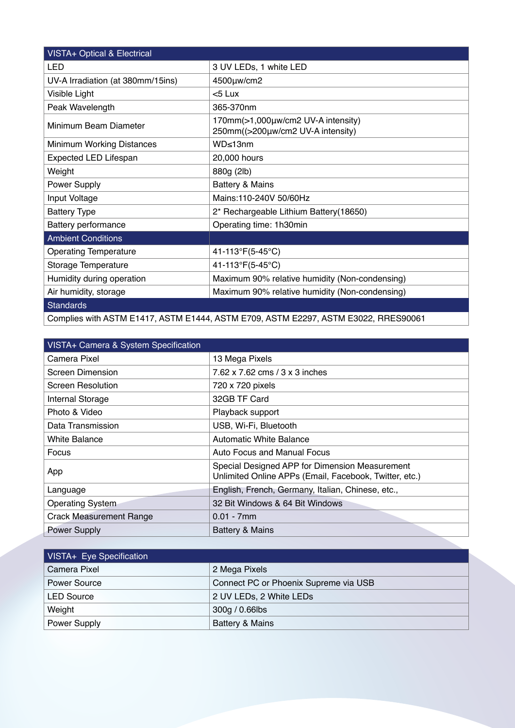| <b>VISTA+ Optical &amp; Electrical</b>                                             |                                                                         |  |
|------------------------------------------------------------------------------------|-------------------------------------------------------------------------|--|
| <b>LED</b>                                                                         | 3 UV LEDs, 1 white LED                                                  |  |
| UV-A Irradiation (at 380mm/15ins)                                                  | 4500µw/cm2                                                              |  |
| Visible Light                                                                      | $< 5$ Lux                                                               |  |
| Peak Wavelength                                                                    | 365-370nm                                                               |  |
| Minimum Beam Diameter                                                              | 170mm(>1,000µw/cm2 UV-A intensity)<br>250mm((>200µw/cm2 UV-A intensity) |  |
| Minimum Working Distances                                                          | WD<13nm                                                                 |  |
| <b>Expected LED Lifespan</b>                                                       | 20,000 hours                                                            |  |
| Weight                                                                             | 880g (2lb)                                                              |  |
| Power Supply                                                                       | <b>Battery &amp; Mains</b>                                              |  |
| Input Voltage                                                                      | Mains:110-240V 50/60Hz                                                  |  |
| <b>Battery Type</b>                                                                | 2* Rechargeable Lithium Battery(18650)                                  |  |
| <b>Battery performance</b>                                                         | Operating time: 1h30min                                                 |  |
| <b>Ambient Conditions</b>                                                          |                                                                         |  |
| <b>Operating Temperature</b>                                                       | 41-113°F(5-45°C)                                                        |  |
| Storage Temperature                                                                | 41-113°F(5-45°C)                                                        |  |
| Humidity during operation                                                          | Maximum 90% relative humidity (Non-condensing)                          |  |
| Air humidity, storage                                                              | Maximum 90% relative humidity (Non-condensing)                          |  |
| <b>Standards</b>                                                                   |                                                                         |  |
| Complies with ASTM E1417, ASTM E1444, ASTM E709, ASTM E2297, ASTM E3022, RRES90061 |                                                                         |  |

| VISTA+ Camera & System Specification |                                                                                                          |
|--------------------------------------|----------------------------------------------------------------------------------------------------------|
| Camera Pixel                         | 13 Mega Pixels                                                                                           |
| <b>Screen Dimension</b>              | 7.62 x 7.62 cms / 3 x 3 inches                                                                           |
| Screen Resolution                    | 720 x 720 pixels                                                                                         |
| Internal Storage                     | 32GB TF Card                                                                                             |
| Photo & Video                        | Playback support                                                                                         |
| Data Transmission                    | USB, Wi-Fi, Bluetooth                                                                                    |
| White Balance                        | <b>Automatic White Balance</b>                                                                           |
| Focus                                | <b>Auto Focus and Manual Focus</b>                                                                       |
| App                                  | Special Designed APP for Dimension Measurement<br>Unlimited Online APPs (Email, Facebook, Twitter, etc.) |
| Language                             | English, French, Germany, Italian, Chinese, etc.,                                                        |
| <b>Operating System</b>              | 32 Bit Windows & 64 Bit Windows                                                                          |
| <b>Crack Measurement Range</b>       | $0.01 - 7$ mm                                                                                            |
| <b>Power Supply</b>                  | Battery & Mains                                                                                          |

| VISTA+ Eye Specification |                                       |
|--------------------------|---------------------------------------|
| Camera Pixel             | 2 Mega Pixels                         |
| <b>Power Source</b>      | Connect PC or Phoenix Supreme via USB |
| <b>LED Source</b>        | 2 UV LEDs, 2 White LEDs               |
| Weight                   | 300g / 0.66lbs                        |
| <b>Power Supply</b>      | <b>Battery &amp; Mains</b>            |